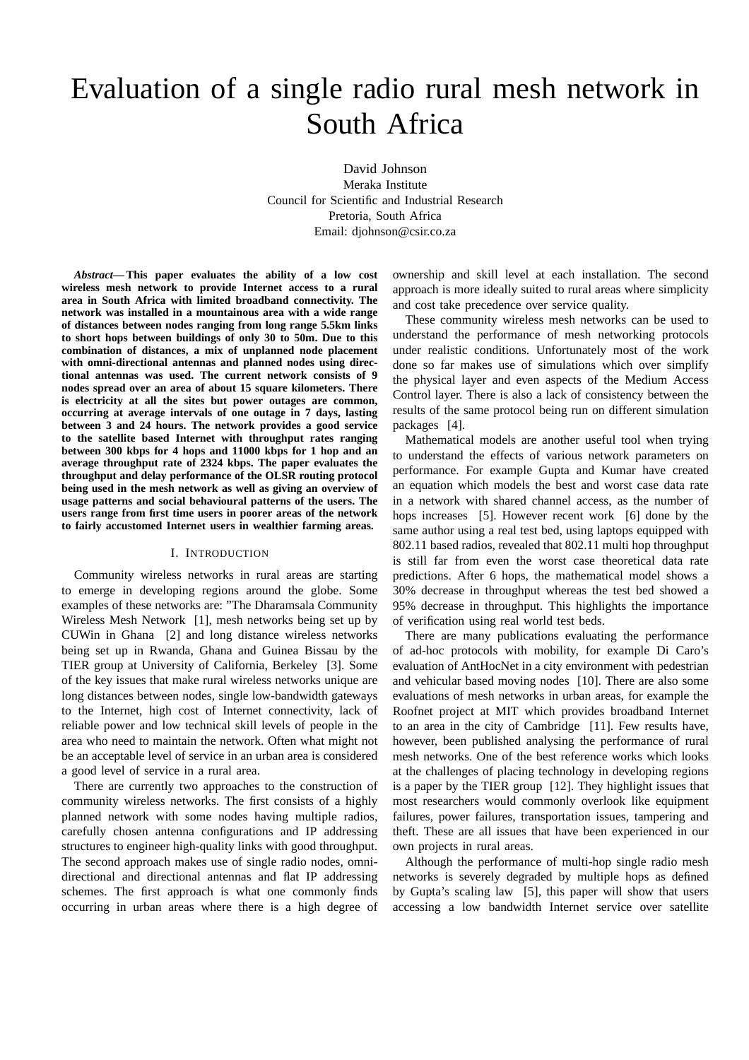# Evaluation of a single radio rural mesh network in South Africa

David Johnson Meraka Institute Council for Scientific and Industrial Research Pretoria, South Africa Email: djohnson@csir.co.za

*Abstract***— This paper evaluates the ability of a low cost wireless mesh network to provide Internet access to a rural area in South Africa with limited broadband connectivity. The network was installed in a mountainous area with a wide range of distances between nodes ranging from long range 5.5km links to short hops between buildings of only 30 to 50m. Due to this combination of distances, a mix of unplanned node placement with omni-directional antennas and planned nodes using directional antennas was used. The current network consists of 9 nodes spread over an area of about 15 square kilometers. There is electricity at all the sites but power outages are common, occurring at average intervals of one outage in 7 days, lasting between 3 and 24 hours. The network provides a good service to the satellite based Internet with throughput rates ranging between 300 kbps for 4 hops and 11000 kbps for 1 hop and an average throughput rate of 2324 kbps. The paper evaluates the throughput and delay performance of the OLSR routing protocol being used in the mesh network as well as giving an overview of usage patterns and social behavioural patterns of the users. The users range from first time users in poorer areas of the network to fairly accustomed Internet users in wealthier farming areas.**

#### I. INTRODUCTION

Community wireless networks in rural areas are starting to emerge in developing regions around the globe. Some examples of these networks are: "The Dharamsala Community Wireless Mesh Network [1], mesh networks being set up by CUWin in Ghana [2] and long distance wireless networks being set up in Rwanda, Ghana and Guinea Bissau by the TIER group at University of California, Berkeley [3]. Some of the key issues that make rural wireless networks unique are long distances between nodes, single low-bandwidth gateways to the Internet, high cost of Internet connectivity, lack of reliable power and low technical skill levels of people in the area who need to maintain the network. Often what might not be an acceptable level of service in an urban area is considered a good level of service in a rural area.

There are currently two approaches to the construction of community wireless networks. The first consists of a highly planned network with some nodes having multiple radios, carefully chosen antenna configurations and IP addressing structures to engineer high-quality links with good throughput. The second approach makes use of single radio nodes, omnidirectional and directional antennas and flat IP addressing schemes. The first approach is what one commonly finds occurring in urban areas where there is a high degree of

ownership and skill level at each installation. The second approach is more ideally suited to rural areas where simplicity and cost take precedence over service quality.

These community wireless mesh networks can be used to understand the performance of mesh networking protocols under realistic conditions. Unfortunately most of the work done so far makes use of simulations which over simplify the physical layer and even aspects of the Medium Access Control layer. There is also a lack of consistency between the results of the same protocol being run on different simulation packages [4].

Mathematical models are another useful tool when trying to understand the effects of various network parameters on performance. For example Gupta and Kumar have created an equation which models the best and worst case data rate in a network with shared channel access, as the number of hops increases [5]. However recent work [6] done by the same author using a real test bed, using laptops equipped with 802.11 based radios, revealed that 802.11 multi hop throughput is still far from even the worst case theoretical data rate predictions. After 6 hops, the mathematical model shows a 30% decrease in throughput whereas the test bed showed a 95% decrease in throughput. This highlights the importance of verification using real world test beds.

There are many publications evaluating the performance of ad-hoc protocols with mobility, for example Di Caro's evaluation of AntHocNet in a city environment with pedestrian and vehicular based moving nodes [10]. There are also some evaluations of mesh networks in urban areas, for example the Roofnet project at MIT which provides broadband Internet to an area in the city of Cambridge [11]. Few results have, however, been published analysing the performance of rural mesh networks. One of the best reference works which looks at the challenges of placing technology in developing regions is a paper by the TIER group [12]. They highlight issues that most researchers would commonly overlook like equipment failures, power failures, transportation issues, tampering and theft. These are all issues that have been experienced in our own projects in rural areas.

Although the performance of multi-hop single radio mesh networks is severely degraded by multiple hops as defined by Gupta's scaling law [5], this paper will show that users accessing a low bandwidth Internet service over satellite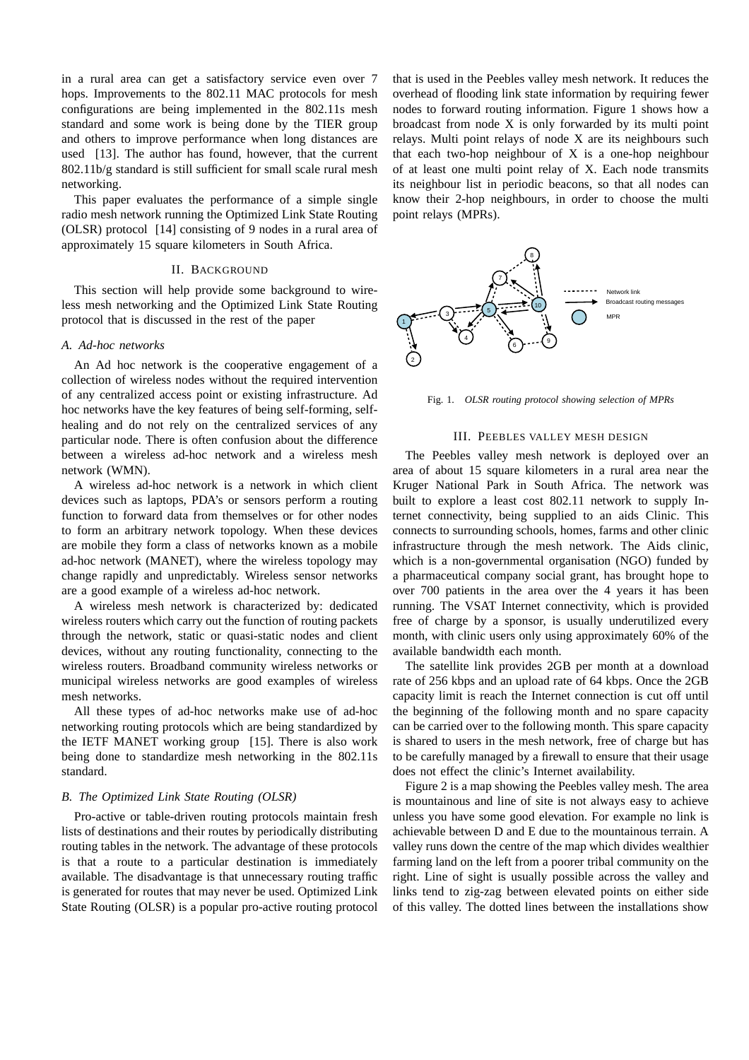in a rural area can get a satisfactory service even over 7 hops. Improvements to the 802.11 MAC protocols for mesh configurations are being implemented in the 802.11s mesh standard and some work is being done by the TIER group and others to improve performance when long distances are used [13]. The author has found, however, that the current 802.11b/g standard is still sufficient for small scale rural mesh networking.

This paper evaluates the performance of a simple single radio mesh network running the Optimized Link State Routing (OLSR) protocol [14] consisting of 9 nodes in a rural area of approximately 15 square kilometers in South Africa.

## II. BACKGROUND

This section will help provide some background to wireless mesh networking and the Optimized Link State Routing protocol that is discussed in the rest of the paper

#### *A. Ad-hoc networks*

An Ad hoc network is the cooperative engagement of a collection of wireless nodes without the required intervention of any centralized access point or existing infrastructure. Ad hoc networks have the key features of being self-forming, selfhealing and do not rely on the centralized services of any particular node. There is often confusion about the difference between a wireless ad-hoc network and a wireless mesh network (WMN).

A wireless ad-hoc network is a network in which client devices such as laptops, PDA's or sensors perform a routing function to forward data from themselves or for other nodes to form an arbitrary network topology. When these devices are mobile they form a class of networks known as a mobile ad-hoc network (MANET), where the wireless topology may change rapidly and unpredictably. Wireless sensor networks are a good example of a wireless ad-hoc network.

A wireless mesh network is characterized by: dedicated wireless routers which carry out the function of routing packets through the network, static or quasi-static nodes and client devices, without any routing functionality, connecting to the wireless routers. Broadband community wireless networks or municipal wireless networks are good examples of wireless mesh networks.

All these types of ad-hoc networks make use of ad-hoc networking routing protocols which are being standardized by the IETF MANET working group [15]. There is also work being done to standardize mesh networking in the 802.11s standard.

#### *B. The Optimized Link State Routing (OLSR)*

Pro-active or table-driven routing protocols maintain fresh lists of destinations and their routes by periodically distributing routing tables in the network. The advantage of these protocols is that a route to a particular destination is immediately available. The disadvantage is that unnecessary routing traffic is generated for routes that may never be used. Optimized Link State Routing (OLSR) is a popular pro-active routing protocol

that is used in the Peebles valley mesh network. It reduces the overhead of flooding link state information by requiring fewer nodes to forward routing information. Figure 1 shows how a broadcast from node X is only forwarded by its multi point relays. Multi point relays of node X are its neighbours such that each two-hop neighbour of X is a one-hop neighbour of at least one multi point relay of X. Each node transmits its neighbour list in periodic beacons, so that all nodes can know their 2-hop neighbours, in order to choose the multi point relays (MPRs).



Fig. 1. *OLSR routing protocol showing selection of MPRs*

## III. PEEBLES VALLEY MESH DESIGN

The Peebles valley mesh network is deployed over an area of about 15 square kilometers in a rural area near the Kruger National Park in South Africa. The network was built to explore a least cost 802.11 network to supply Internet connectivity, being supplied to an aids Clinic. This connects to surrounding schools, homes, farms and other clinic infrastructure through the mesh network. The Aids clinic, which is a non-governmental organisation (NGO) funded by a pharmaceutical company social grant, has brought hope to over 700 patients in the area over the 4 years it has been running. The VSAT Internet connectivity, which is provided free of charge by a sponsor, is usually underutilized every month, with clinic users only using approximately 60% of the available bandwidth each month.

The satellite link provides 2GB per month at a download rate of 256 kbps and an upload rate of 64 kbps. Once the 2GB capacity limit is reach the Internet connection is cut off until the beginning of the following month and no spare capacity can be carried over to the following month. This spare capacity is shared to users in the mesh network, free of charge but has to be carefully managed by a firewall to ensure that their usage does not effect the clinic's Internet availability.

Figure 2 is a map showing the Peebles valley mesh. The area is mountainous and line of site is not always easy to achieve unless you have some good elevation. For example no link is achievable between D and E due to the mountainous terrain. A valley runs down the centre of the map which divides wealthier farming land on the left from a poorer tribal community on the right. Line of sight is usually possible across the valley and links tend to zig-zag between elevated points on either side of this valley. The dotted lines between the installations show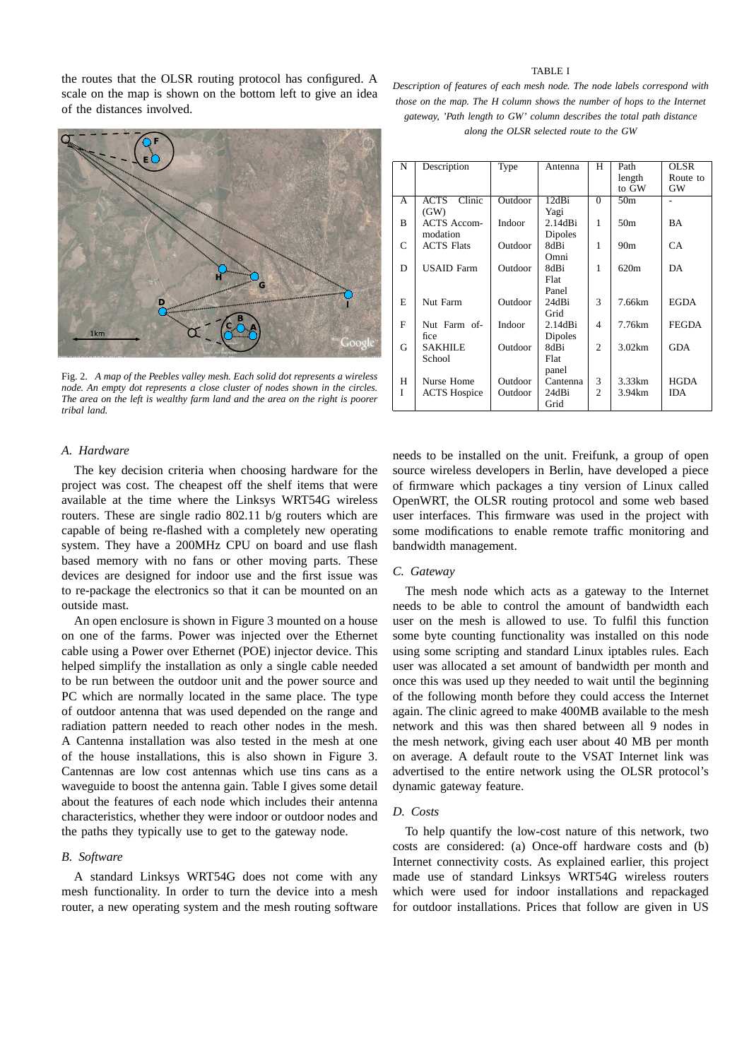#### TABLE I

the routes that the OLSR routing protocol has configured. A scale on the map is shown on the bottom left to give an idea of the distances involved.



Fig. 2. *A map of the Peebles valley mesh. Each solid dot represents a wireless node. An empty dot represents a close cluster of nodes shown in the circles. The area on the left is wealthy farm land and the area on the right is poorer tribal land.*

# *A. Hardware*

The key decision criteria when choosing hardware for the project was cost. The cheapest off the shelf items that were available at the time where the Linksys WRT54G wireless routers. These are single radio 802.11 b/g routers which are capable of being re-flashed with a completely new operating system. They have a 200MHz CPU on board and use flash based memory with no fans or other moving parts. These devices are designed for indoor use and the first issue was to re-package the electronics so that it can be mounted on an outside mast.

An open enclosure is shown in Figure 3 mounted on a house on one of the farms. Power was injected over the Ethernet cable using a Power over Ethernet (POE) injector device. This helped simplify the installation as only a single cable needed to be run between the outdoor unit and the power source and PC which are normally located in the same place. The type of outdoor antenna that was used depended on the range and radiation pattern needed to reach other nodes in the mesh. A Cantenna installation was also tested in the mesh at one of the house installations, this is also shown in Figure 3. Cantennas are low cost antennas which use tins cans as a waveguide to boost the antenna gain. Table I gives some detail about the features of each node which includes their antenna characteristics, whether they were indoor or outdoor nodes and the paths they typically use to get to the gateway node.

# *B. Software*

A standard Linksys WRT54G does not come with any mesh functionality. In order to turn the device into a mesh router, a new operating system and the mesh routing software

*Description of features of each mesh node. The node labels correspond with those on the map. The H column shows the number of hops to the Internet gateway, 'Path length to GW' column describes the total path distance along the OLSR selected route to the GW*

| N | Description           | Type    | Antenna        | Н              | Path            | <b>OLSR</b>  |
|---|-----------------------|---------|----------------|----------------|-----------------|--------------|
|   |                       |         |                |                | length          | Route to     |
|   |                       |         |                |                | to GW           | GW           |
| A | <b>ACTS</b><br>Clinic | Outdoor | 12dBi          | $\theta$       | 50 <sub>m</sub> |              |
|   | (GW)                  |         | Yagi           |                |                 |              |
| B | <b>ACTS</b> Accom-    | Indoor  | $2.14dB$ i     | 1              | 50 <sub>m</sub> | <b>BA</b>    |
|   | modation              |         | <b>Dipoles</b> |                |                 |              |
| C | <b>ACTS</b> Flats     | Outdoor | 8dBi           | 1              | 90 <sub>m</sub> | CA           |
|   |                       |         | Omni           |                |                 |              |
| D | <b>USAID</b> Farm     | Outdoor | 8dBi           | 1              | 620m            | DA           |
|   |                       |         | Flat           |                |                 |              |
|   |                       |         | Panel          |                |                 |              |
| E | Nut Farm              | Outdoor | 24dBi          | 3              | 7.66km          | <b>EGDA</b>  |
|   |                       |         | Grid           |                |                 |              |
| F | Nut Farm of-          | Indoor  | $2.14dB$ i     | 4              | 7.76km          | <b>FEGDA</b> |
|   | fice                  |         | Dipoles        |                |                 |              |
| G | <b>SAKHILE</b>        | Outdoor | 8dBi           | $\overline{c}$ | 3.02km          | <b>GDA</b>   |
|   | School                |         | Flat           |                |                 |              |
|   |                       |         | panel          |                |                 |              |
| H | Nurse Home            | Outdoor | Cantenna       | 3              | 3.33km          | <b>HGDA</b>  |
| L | <b>ACTS</b> Hospice   | Outdoor | 24dBi          | $\mathfrak{D}$ | 3.94km          | IDA          |
|   |                       |         | Grid           |                |                 |              |

needs to be installed on the unit. Freifunk, a group of open source wireless developers in Berlin, have developed a piece of firmware which packages a tiny version of Linux called OpenWRT, the OLSR routing protocol and some web based user interfaces. This firmware was used in the project with some modifications to enable remote traffic monitoring and bandwidth management.

## *C. Gateway*

The mesh node which acts as a gateway to the Internet needs to be able to control the amount of bandwidth each user on the mesh is allowed to use. To fulfil this function some byte counting functionality was installed on this node using some scripting and standard Linux iptables rules. Each user was allocated a set amount of bandwidth per month and once this was used up they needed to wait until the beginning of the following month before they could access the Internet again. The clinic agreed to make 400MB available to the mesh network and this was then shared between all 9 nodes in the mesh network, giving each user about 40 MB per month on average. A default route to the VSAT Internet link was advertised to the entire network using the OLSR protocol's dynamic gateway feature.

## *D. Costs*

To help quantify the low-cost nature of this network, two costs are considered: (a) Once-off hardware costs and (b) Internet connectivity costs. As explained earlier, this project made use of standard Linksys WRT54G wireless routers which were used for indoor installations and repackaged for outdoor installations. Prices that follow are given in US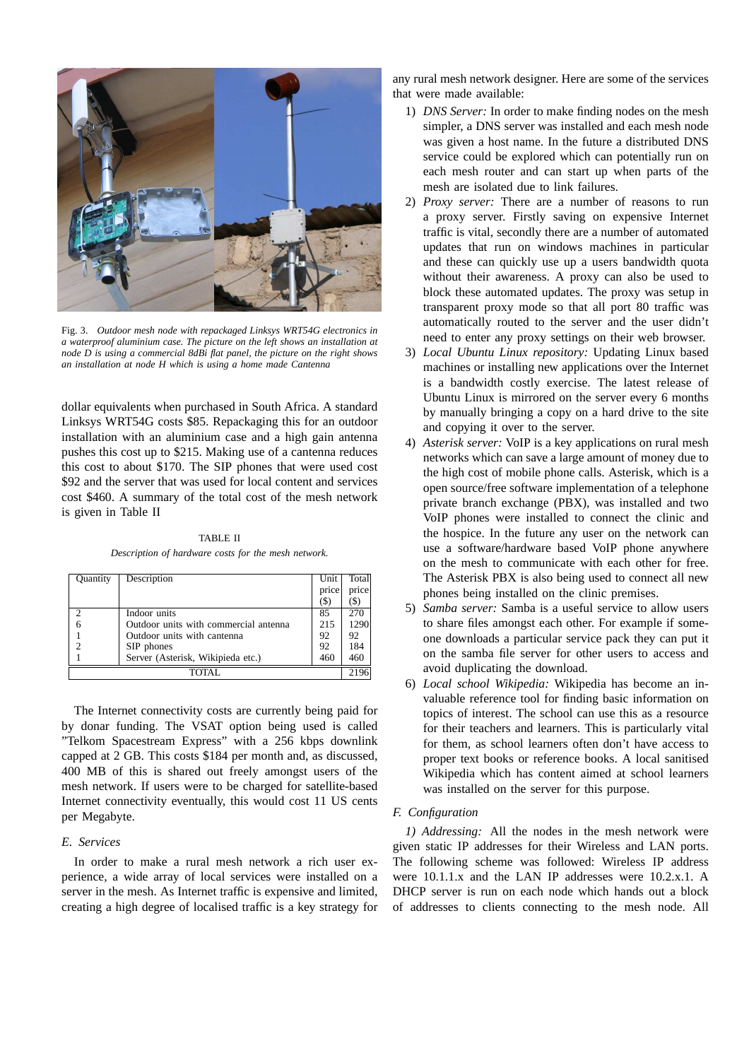

Fig. 3. *Outdoor mesh node with repackaged Linksys WRT54G electronics in a waterproof aluminium case. The picture on the left shows an installation at node D is using a commercial 8dBi flat panel, the picture on the right shows an installation at node H which is using a home made Cantenna*

dollar equivalents when purchased in South Africa. A standard Linksys WRT54G costs \$85. Repackaging this for an outdoor installation with an aluminium case and a high gain antenna pushes this cost up to \$215. Making use of a cantenna reduces this cost to about \$170. The SIP phones that were used cost \$92 and the server that was used for local content and services cost \$460. A summary of the total cost of the mesh network is given in Table II

TABLE II *Description of hardware costs for the mesh network.*

| <b>Ouantity</b> | Description                           | Unit    | Total |
|-----------------|---------------------------------------|---------|-------|
|                 |                                       | price   | price |
|                 |                                       | $($ \$) | (\$)  |
| $\mathcal{D}$   | Indoor units                          | 85      | 270   |
| 6               | Outdoor units with commercial antenna | 215     | 1290  |
|                 | Outdoor units with cantenna           | 92      | 92    |
|                 | SIP phones                            | 92      | 184   |
|                 | Server (Asterisk, Wikipieda etc.)     | 460     | 460   |
| TOTAL.          |                                       |         |       |

The Internet connectivity costs are currently being paid for by donar funding. The VSAT option being used is called "Telkom Spacestream Express" with a 256 kbps downlink capped at 2 GB. This costs \$184 per month and, as discussed, 400 MB of this is shared out freely amongst users of the mesh network. If users were to be charged for satellite-based Internet connectivity eventually, this would cost 11 US cents per Megabyte.

# *E. Services*

In order to make a rural mesh network a rich user experience, a wide array of local services were installed on a server in the mesh. As Internet traffic is expensive and limited, creating a high degree of localised traffic is a key strategy for

any rural mesh network designer. Here are some of the services that were made available:

- 1) *DNS Server:* In order to make finding nodes on the mesh simpler, a DNS server was installed and each mesh node was given a host name. In the future a distributed DNS service could be explored which can potentially run on each mesh router and can start up when parts of the mesh are isolated due to link failures.
- 2) *Proxy server:* There are a number of reasons to run a proxy server. Firstly saving on expensive Internet traffic is vital, secondly there are a number of automated updates that run on windows machines in particular and these can quickly use up a users bandwidth quota without their awareness. A proxy can also be used to block these automated updates. The proxy was setup in transparent proxy mode so that all port 80 traffic was automatically routed to the server and the user didn't need to enter any proxy settings on their web browser.
- 3) *Local Ubuntu Linux repository:* Updating Linux based machines or installing new applications over the Internet is a bandwidth costly exercise. The latest release of Ubuntu Linux is mirrored on the server every 6 months by manually bringing a copy on a hard drive to the site and copying it over to the server.
- 4) *Asterisk server:* VoIP is a key applications on rural mesh networks which can save a large amount of money due to the high cost of mobile phone calls. Asterisk, which is a open source/free software implementation of a telephone private branch exchange (PBX), was installed and two VoIP phones were installed to connect the clinic and the hospice. In the future any user on the network can use a software/hardware based VoIP phone anywhere on the mesh to communicate with each other for free. The Asterisk PBX is also being used to connect all new phones being installed on the clinic premises.
- 5) *Samba server:* Samba is a useful service to allow users to share files amongst each other. For example if someone downloads a particular service pack they can put it on the samba file server for other users to access and avoid duplicating the download.
- 6) *Local school Wikipedia:* Wikipedia has become an invaluable reference tool for finding basic information on topics of interest. The school can use this as a resource for their teachers and learners. This is particularly vital for them, as school learners often don't have access to proper text books or reference books. A local sanitised Wikipedia which has content aimed at school learners was installed on the server for this purpose.

# *F. Configuration*

*1) Addressing:* All the nodes in the mesh network were given static IP addresses for their Wireless and LAN ports. The following scheme was followed: Wireless IP address were 10.1.1.x and the LAN IP addresses were 10.2.x.1. A DHCP server is run on each node which hands out a block of addresses to clients connecting to the mesh node. All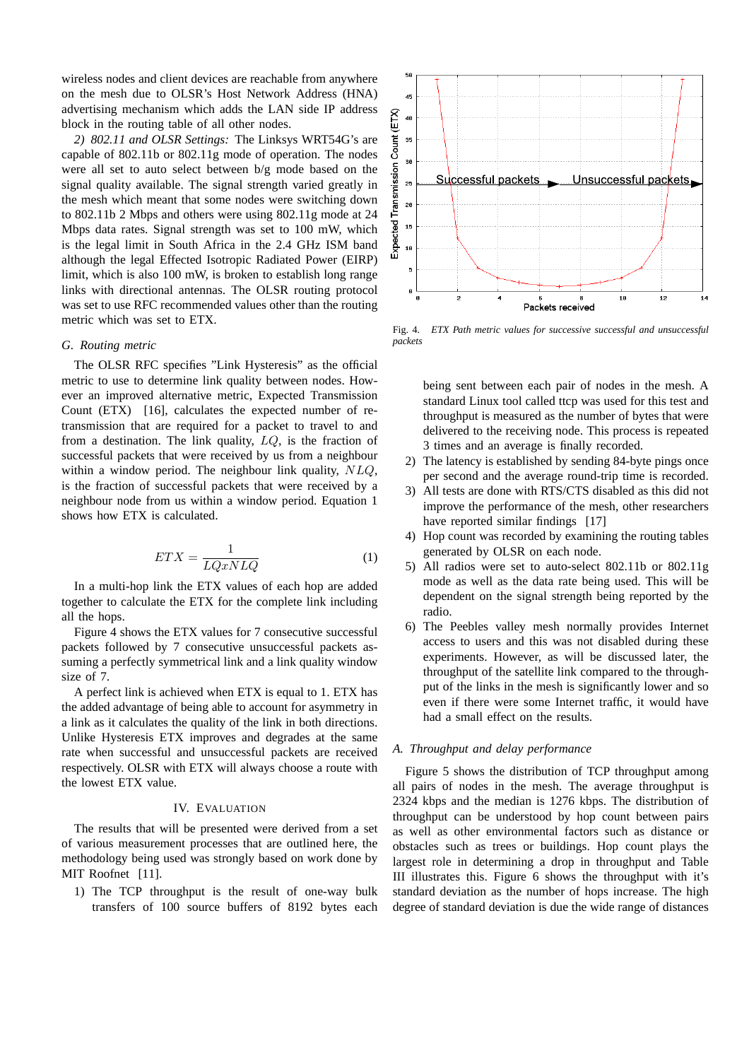wireless nodes and client devices are reachable from anywhere on the mesh due to OLSR's Host Network Address (HNA) advertising mechanism which adds the LAN side IP address block in the routing table of all other nodes.

*2) 802.11 and OLSR Settings:* The Linksys WRT54G's are capable of 802.11b or 802.11g mode of operation. The nodes were all set to auto select between b/g mode based on the signal quality available. The signal strength varied greatly in the mesh which meant that some nodes were switching down to 802.11b 2 Mbps and others were using 802.11g mode at 24 Mbps data rates. Signal strength was set to 100 mW, which is the legal limit in South Africa in the 2.4 GHz ISM band although the legal Effected Isotropic Radiated Power (EIRP) limit, which is also 100 mW, is broken to establish long range links with directional antennas. The OLSR routing protocol was set to use RFC recommended values other than the routing metric which was set to ETX.

#### *G. Routing metric*

The OLSR RFC specifies "Link Hysteresis" as the official metric to use to determine link quality between nodes. However an improved alternative metric, Expected Transmission Count (ETX) [16], calculates the expected number of retransmission that are required for a packet to travel to and from a destination. The link quality,  $LQ$ , is the fraction of successful packets that were received by us from a neighbour within a window period. The neighbour link quality, NLQ, is the fraction of successful packets that were received by a neighbour node from us within a window period. Equation 1 shows how ETX is calculated.

$$
ETX = \frac{1}{LQxNLQ} \tag{1}
$$

In a multi-hop link the ETX values of each hop are added together to calculate the ETX for the complete link including all the hops.

Figure 4 shows the ETX values for 7 consecutive successful packets followed by 7 consecutive unsuccessful packets assuming a perfectly symmetrical link and a link quality window size of 7.

A perfect link is achieved when ETX is equal to 1. ETX has the added advantage of being able to account for asymmetry in a link as it calculates the quality of the link in both directions. Unlike Hysteresis ETX improves and degrades at the same rate when successful and unsuccessful packets are received respectively. OLSR with ETX will always choose a route with the lowest ETX value.

# IV. EVALUATION

The results that will be presented were derived from a set of various measurement processes that are outlined here, the methodology being used was strongly based on work done by MIT Roofnet [11].

1) The TCP throughput is the result of one-way bulk transfers of 100 source buffers of 8192 bytes each



Fig. 4. *ETX Path metric values for successive successful and unsuccessful packets*

being sent between each pair of nodes in the mesh. A standard Linux tool called ttcp was used for this test and throughput is measured as the number of bytes that were delivered to the receiving node. This process is repeated 3 times and an average is finally recorded.

- 2) The latency is established by sending 84-byte pings once per second and the average round-trip time is recorded.
- 3) All tests are done with RTS/CTS disabled as this did not improve the performance of the mesh, other researchers have reported similar findings [17]
- 4) Hop count was recorded by examining the routing tables generated by OLSR on each node.
- 5) All radios were set to auto-select 802.11b or 802.11g mode as well as the data rate being used. This will be dependent on the signal strength being reported by the radio.
- 6) The Peebles valley mesh normally provides Internet access to users and this was not disabled during these experiments. However, as will be discussed later, the throughput of the satellite link compared to the throughput of the links in the mesh is significantly lower and so even if there were some Internet traffic, it would have had a small effect on the results.

# *A. Throughput and delay performance*

Figure 5 shows the distribution of TCP throughput among all pairs of nodes in the mesh. The average throughput is 2324 kbps and the median is 1276 kbps. The distribution of throughput can be understood by hop count between pairs as well as other environmental factors such as distance or obstacles such as trees or buildings. Hop count plays the largest role in determining a drop in throughput and Table III illustrates this. Figure 6 shows the throughput with it's standard deviation as the number of hops increase. The high degree of standard deviation is due the wide range of distances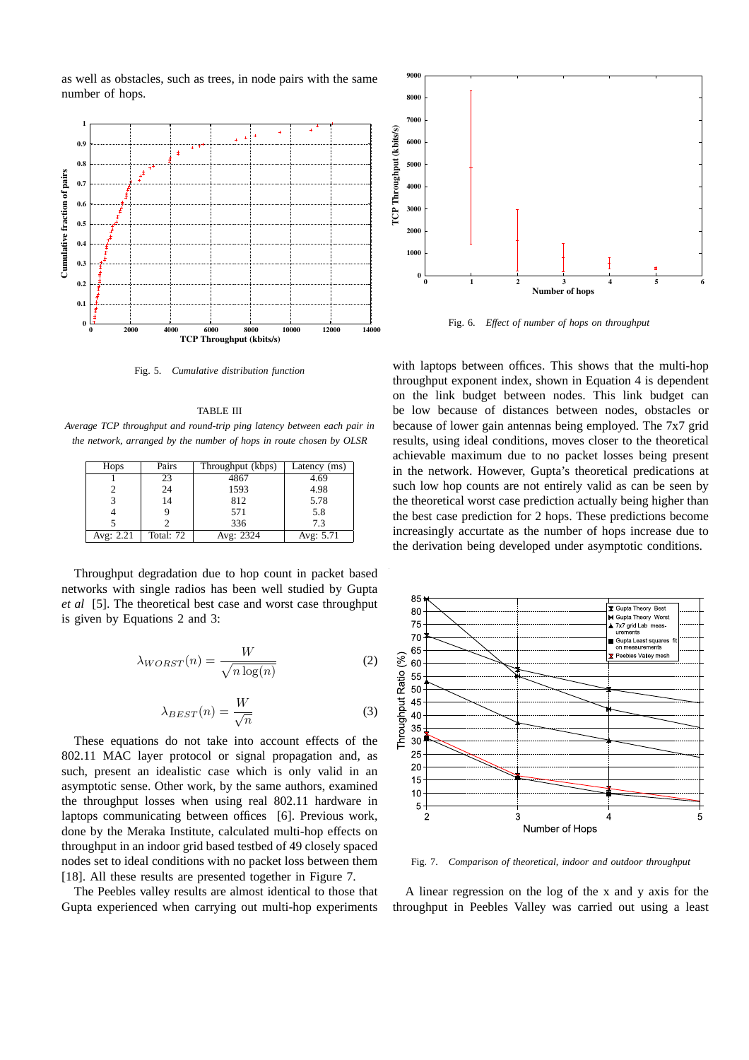as well as obstacles, such as trees, in node pairs with the same number of hops.



Fig. 5. *Cumulative distribution function*

TABLE III *Average TCP throughput and round-trip ping latency between each pair in the network, arranged by the number of hops in route chosen by OLSR*

| Hops        | Pairs     | Throughput (kbps) | Latency (ms) |
|-------------|-----------|-------------------|--------------|
|             | 23        | 4867              | 4.69         |
|             | 24        | 1593              | 4.98         |
|             | 14        | 812               | 5.78         |
|             |           | 571               | 5.8          |
|             |           | 336               | 7.3          |
| Avg: $2.21$ | Total: 72 | Avg: 2324         | Avg: 5.71    |

Throughput degradation due to hop count in packet based networks with single radios has been well studied by Gupta *et al* [5]. The theoretical best case and worst case throughput is given by Equations 2 and 3:

$$
\lambda_{WORST}(n) = \frac{W}{\sqrt{n \log(n)}}\tag{2}
$$

$$
\lambda_{BEST}(n) = \frac{W}{\sqrt{n}}\tag{3}
$$

These equations do not take into account effects of the 802.11 MAC layer protocol or signal propagation and, as such, present an idealistic case which is only valid in an asymptotic sense. Other work, by the same authors, examined the throughput losses when using real 802.11 hardware in laptops communicating between offices [6]. Previous work, done by the Meraka Institute, calculated multi-hop effects on throughput in an indoor grid based testbed of 49 closely spaced nodes set to ideal conditions with no packet loss between them [18]. All these results are presented together in Figure 7.

The Peebles valley results are almost identical to those that Gupta experienced when carrying out multi-hop experiments



Fig. 6. *Effect of number of hops on throughput*

with laptops between offices. This shows that the multi-hop throughput exponent index, shown in Equation 4 is dependent on the link budget between nodes. This link budget can be low because of distances between nodes, obstacles or because of lower gain antennas being employed. The 7x7 grid results, using ideal conditions, moves closer to the theoretical achievable maximum due to no packet losses being present in the network. However, Gupta's theoretical predications at such low hop counts are not entirely valid as can be seen by the theoretical worst case prediction actually being higher than the best case prediction for 2 hops. These predictions become increasingly accurtate as the number of hops increase due to the derivation being developed under asymptotic conditions.



Fig. 7. *Comparison of theoretical, indoor and outdoor throughput*

A linear regression on the log of the x and y axis for the throughput in Peebles Valley was carried out using a least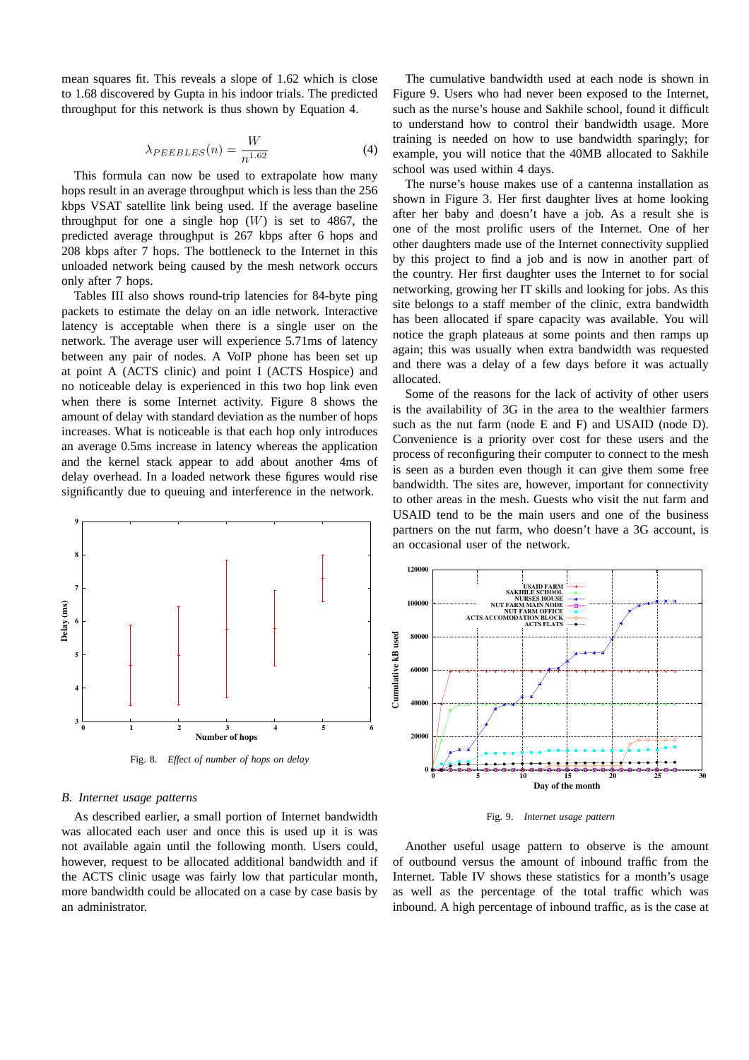mean squares fit. This reveals a slope of 1.62 which is close to 1.68 discovered by Gupta in his indoor trials. The predicted throughput for this network is thus shown by Equation 4.

$$
\lambda_{PEEBLES}(n) = \frac{W}{n^{1.62}}\tag{4}
$$

This formula can now be used to extrapolate how many hops result in an average throughput which is less than the 256 kbps VSAT satellite link being used. If the average baseline throughput for one a single hop  $(W)$  is set to 4867, the predicted average throughput is 267 kbps after 6 hops and 208 kbps after 7 hops. The bottleneck to the Internet in this unloaded network being caused by the mesh network occurs only after 7 hops.

Tables III also shows round-trip latencies for 84-byte ping packets to estimate the delay on an idle network. Interactive latency is acceptable when there is a single user on the network. The average user will experience 5.71ms of latency between any pair of nodes. A VoIP phone has been set up at point A (ACTS clinic) and point I (ACTS Hospice) and no noticeable delay is experienced in this two hop link even when there is some Internet activity. Figure 8 shows the amount of delay with standard deviation as the number of hops increases. What is noticeable is that each hop only introduces an average 0.5ms increase in latency whereas the application and the kernel stack appear to add about another 4ms of delay overhead. In a loaded network these figures would rise significantly due to queuing and interference in the network.



Fig. 8. *Effect of number of hops on delay*

## *B. Internet usage patterns*

As described earlier, a small portion of Internet bandwidth was allocated each user and once this is used up it is was not available again until the following month. Users could, however, request to be allocated additional bandwidth and if the ACTS clinic usage was fairly low that particular month, more bandwidth could be allocated on a case by case basis by an administrator.

The cumulative bandwidth used at each node is shown in Figure 9. Users who had never been exposed to the Internet, such as the nurse's house and Sakhile school, found it difficult to understand how to control their bandwidth usage. More training is needed on how to use bandwidth sparingly; for example, you will notice that the 40MB allocated to Sakhile school was used within 4 days.

The nurse's house makes use of a cantenna installation as shown in Figure 3. Her first daughter lives at home looking after her baby and doesn't have a job. As a result she is one of the most prolific users of the Internet. One of her other daughters made use of the Internet connectivity supplied by this project to find a job and is now in another part of the country. Her first daughter uses the Internet to for social networking, growing her IT skills and looking for jobs. As this site belongs to a staff member of the clinic, extra bandwidth has been allocated if spare capacity was available. You will notice the graph plateaus at some points and then ramps up again; this was usually when extra bandwidth was requested and there was a delay of a few days before it was actually allocated.

Some of the reasons for the lack of activity of other users is the availability of 3G in the area to the wealthier farmers such as the nut farm (node E and F) and USAID (node D). Convenience is a priority over cost for these users and the process of reconfiguring their computer to connect to the mesh is seen as a burden even though it can give them some free bandwidth. The sites are, however, important for connectivity to other areas in the mesh. Guests who visit the nut farm and USAID tend to be the main users and one of the business partners on the nut farm, who doesn't have a 3G account, is an occasional user of the network.



Fig. 9. *Internet usage pattern*

Another useful usage pattern to observe is the amount of outbound versus the amount of inbound traffic from the Internet. Table IV shows these statistics for a month's usage as well as the percentage of the total traffic which was inbound. A high percentage of inbound traffic, as is the case at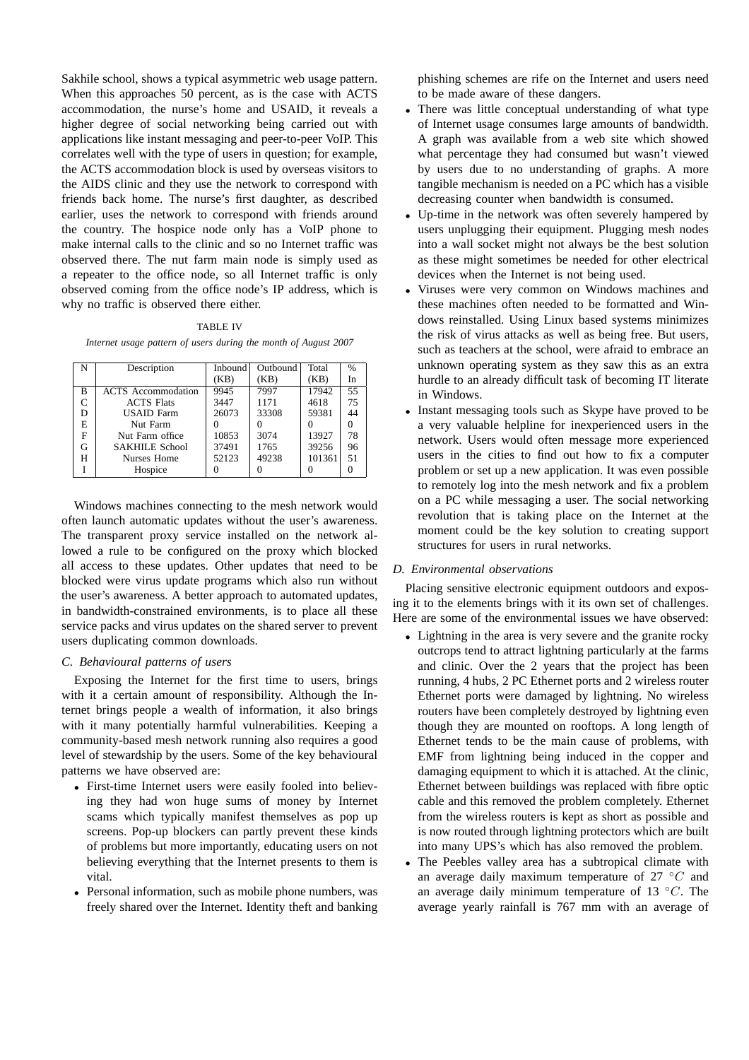Sakhile school, shows a typical asymmetric web usage pattern. When this approaches 50 percent, as is the case with ACTS accommodation, the nurse's home and USAID, it reveals a higher degree of social networking being carried out with applications like instant messaging and peer-to-peer VoIP. This correlates well with the type of users in question; for example, the ACTS accommodation block is used by overseas visitors to the AIDS clinic and they use the network to correspond with friends back home. The nurse's first daughter, as described earlier, uses the network to correspond with friends around the country. The hospice node only has a VoIP phone to make internal calls to the clinic and so no Internet traffic was observed there. The nut farm main node is simply used as a repeater to the office node, so all Internet traffic is only observed coming from the office node's IP address, which is why no traffic is observed there either.

TABLE IV *Internet usage pattern of users during the month of August 2007*

|   | Description               | Inbound | Outbound | Total  | $\%$ |
|---|---------------------------|---------|----------|--------|------|
|   |                           | (KB)    | (KB)     | (KB)   | In   |
| B | <b>ACTS</b> Accommodation | 9945    | 7997     | 17942  | 55   |
| C | <b>ACTS</b> Flats         | 3447    | 1171     | 4618   | 75   |
| D | <b>USAID</b> Farm         | 26073   | 33308    | 59381  | 44   |
| E | Nut Farm                  |         |          |        |      |
| F | Nut Farm office           | 10853   | 3074     | 13927  | 78   |
| G | SAKHILE School            | 37491   | 1765     | 39256  | 96   |
| н | Nurses Home               | 52123   | 49238    | 101361 | 51   |
|   | Hospice                   |         |          |        |      |

Windows machines connecting to the mesh network would often launch automatic updates without the user's awareness. The transparent proxy service installed on the network allowed a rule to be configured on the proxy which blocked all access to these updates. Other updates that need to be blocked were virus update programs which also run without the user's awareness. A better approach to automated updates, in bandwidth-constrained environments, is to place all these service packs and virus updates on the shared server to prevent users duplicating common downloads.

# *C. Behavioural patterns of users*

Exposing the Internet for the first time to users, brings with it a certain amount of responsibility. Although the Internet brings people a wealth of information, it also brings with it many potentially harmful vulnerabilities. Keeping a community-based mesh network running also requires a good level of stewardship by the users. Some of the key behavioural patterns we have observed are:

- First-time Internet users were easily fooled into believing they had won huge sums of money by Internet scams which typically manifest themselves as pop up screens. Pop-up blockers can partly prevent these kinds of problems but more importantly, educating users on not believing everything that the Internet presents to them is vital.
- Personal information, such as mobile phone numbers, was freely shared over the Internet. Identity theft and banking

phishing schemes are rife on the Internet and users need to be made aware of these dangers.

- There was little conceptual understanding of what type of Internet usage consumes large amounts of bandwidth. A graph was available from a web site which showed what percentage they had consumed but wasn't viewed by users due to no understanding of graphs. A more tangible mechanism is needed on a PC which has a visible decreasing counter when bandwidth is consumed.
- Up-time in the network was often severely hampered by users unplugging their equipment. Plugging mesh nodes into a wall socket might not always be the best solution as these might sometimes be needed for other electrical devices when the Internet is not being used.
- Viruses were very common on Windows machines and these machines often needed to be formatted and Windows reinstalled. Using Linux based systems minimizes the risk of virus attacks as well as being free. But users, such as teachers at the school, were afraid to embrace an unknown operating system as they saw this as an extra hurdle to an already difficult task of becoming IT literate in Windows.
- Instant messaging tools such as Skype have proved to be a very valuable helpline for inexperienced users in the network. Users would often message more experienced users in the cities to find out how to fix a computer problem or set up a new application. It was even possible to remotely log into the mesh network and fix a problem on a PC while messaging a user. The social networking revolution that is taking place on the Internet at the moment could be the key solution to creating support structures for users in rural networks.

# *D. Environmental observations*

Placing sensitive electronic equipment outdoors and exposing it to the elements brings with it its own set of challenges. Here are some of the environmental issues we have observed:

- Lightning in the area is very severe and the granite rocky outcrops tend to attract lightning particularly at the farms and clinic. Over the 2 years that the project has been running, 4 hubs, 2 PC Ethernet ports and 2 wireless router Ethernet ports were damaged by lightning. No wireless routers have been completely destroyed by lightning even though they are mounted on rooftops. A long length of Ethernet tends to be the main cause of problems, with EMF from lightning being induced in the copper and damaging equipment to which it is attached. At the clinic, Ethernet between buildings was replaced with fibre optic cable and this removed the problem completely. Ethernet from the wireless routers is kept as short as possible and is now routed through lightning protectors which are built into many UPS's which has also removed the problem.
- The Peebles valley area has a subtropical climate with an average daily maximum temperature of 27  $\degree$ C and an average daily minimum temperature of 13  $\degree C$ . The average yearly rainfall is 767 mm with an average of